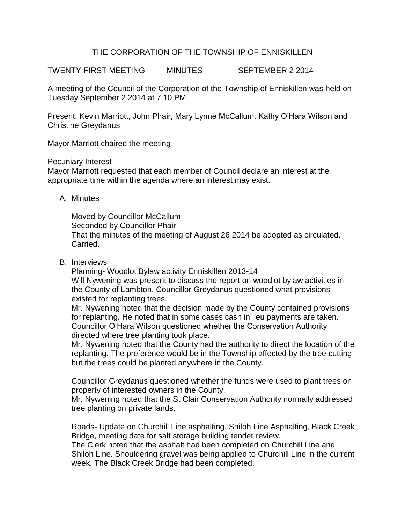## THE CORPORATION OF THE TOWNSHIP OF ENNISKILLEN

TWENTY-FIRST MEETING MINUTES SEPTEMBER 2 2014

A meeting of the Council of the Corporation of the Township of Enniskillen was held on Tuesday September 2 2014 at 7:10 PM

Present: Kevin Marriott, John Phair, Mary Lynne McCallum, Kathy O'Hara Wilson and Christine Greydanus

Mayor Marriott chaired the meeting

Pecuniary Interest

Mayor Marriott requested that each member of Council declare an interest at the appropriate time within the agenda where an interest may exist.

A. Minutes

Moved by Councillor McCallum Seconded by Councillor Phair That the minutes of the meeting of August 26 2014 be adopted as circulated. Carried.

B. Interviews

Planning- Woodlot Bylaw activity Enniskillen 2013-14 Will Nywening was present to discuss the report on woodlot bylaw activities in the County of Lambton. Councillor Greydanus questioned what provisions existed for replanting trees.

Mr. Nywening noted that the decision made by the County contained provisions for replanting. He noted that in some cases cash in lieu payments are taken. Councillor O'Hara Wilson questioned whether the Conservation Authority directed where tree planting took place.

Mr. Nywening noted that the County had the authority to direct the location of the replanting. The preference would be in the Township affected by the tree cutting but the trees could be planted anywhere in the County.

Councillor Greydanus questioned whether the funds were used to plant trees on property of interested owners in the County.

Mr. Nywening noted that the St Clair Conservation Authority normally addressed tree planting on private lands.

Roads- Update on Churchill Line asphalting, Shiloh Line Asphalting, Black Creek Bridge, meeting date for salt storage building tender review.

The Clerk noted that the asphalt had been completed on Churchill Line and Shiloh Line. Shouldering gravel was being applied to Churchill Line in the current week. The Black Creek Bridge had been completed.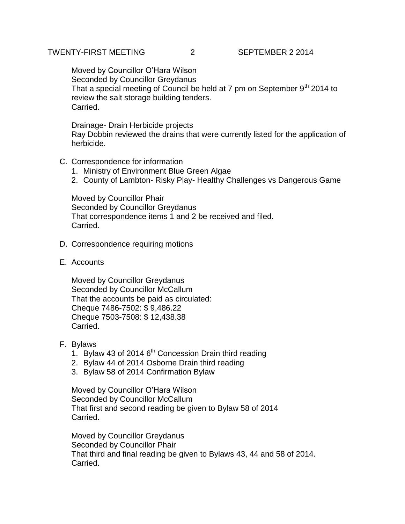## TWENTY-FIRST MEETING 2 SEPTEMBER 2 2014

Moved by Councillor O'Hara Wilson Seconded by Councillor Greydanus That a special meeting of Council be held at 7 pm on September  $9<sup>th</sup>$  2014 to review the salt storage building tenders. Carried.

Drainage- Drain Herbicide projects Ray Dobbin reviewed the drains that were currently listed for the application of herbicide.

- C. Correspondence for information
	- 1. Ministry of Environment Blue Green Algae
	- 2. County of Lambton- Risky Play- Healthy Challenges vs Dangerous Game

Moved by Councillor Phair Seconded by Councillor Greydanus That correspondence items 1 and 2 be received and filed. Carried.

- D. Correspondence requiring motions
- E. Accounts

Moved by Councillor Greydanus Seconded by Councillor McCallum That the accounts be paid as circulated: Cheque 7486-7502: \$ 9,486.22 Cheque 7503-7508: \$ 12,438.38 Carried.

- F. Bylaws
	- 1. Bylaw 43 of 2014  $6<sup>th</sup>$  Concession Drain third reading
	- 2. Bylaw 44 of 2014 Osborne Drain third reading
	- 3. Bylaw 58 of 2014 Confirmation Bylaw

Moved by Councillor O'Hara Wilson Seconded by Councillor McCallum That first and second reading be given to Bylaw 58 of 2014 Carried.

Moved by Councillor Greydanus Seconded by Councillor Phair That third and final reading be given to Bylaws 43, 44 and 58 of 2014. Carried.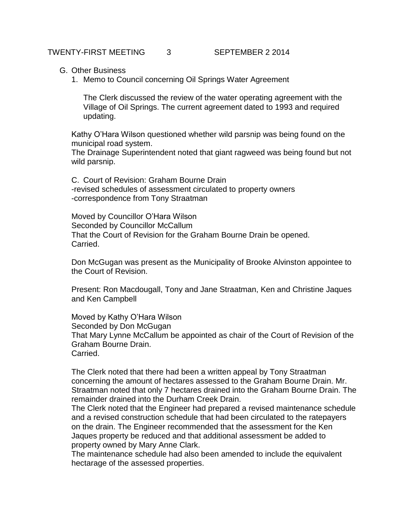## G. Other Business

1. Memo to Council concerning Oil Springs Water Agreement

The Clerk discussed the review of the water operating agreement with the Village of Oil Springs. The current agreement dated to 1993 and required updating.

Kathy O'Hara Wilson questioned whether wild parsnip was being found on the municipal road system.

The Drainage Superintendent noted that giant ragweed was being found but not wild parsnip.

C. Court of Revision: Graham Bourne Drain -revised schedules of assessment circulated to property owners -correspondence from Tony Straatman

Moved by Councillor O'Hara Wilson Seconded by Councillor McCallum That the Court of Revision for the Graham Bourne Drain be opened. Carried.

Don McGugan was present as the Municipality of Brooke Alvinston appointee to the Court of Revision.

Present: Ron Macdougall, Tony and Jane Straatman, Ken and Christine Jaques and Ken Campbell

Moved by Kathy O'Hara Wilson Seconded by Don McGugan That Mary Lynne McCallum be appointed as chair of the Court of Revision of the Graham Bourne Drain. Carried.

The Clerk noted that there had been a written appeal by Tony Straatman concerning the amount of hectares assessed to the Graham Bourne Drain. Mr. Straatman noted that only 7 hectares drained into the Graham Bourne Drain. The remainder drained into the Durham Creek Drain.

The Clerk noted that the Engineer had prepared a revised maintenance schedule and a revised construction schedule that had been circulated to the ratepayers on the drain. The Engineer recommended that the assessment for the Ken Jaques property be reduced and that additional assessment be added to property owned by Mary Anne Clark.

The maintenance schedule had also been amended to include the equivalent hectarage of the assessed properties.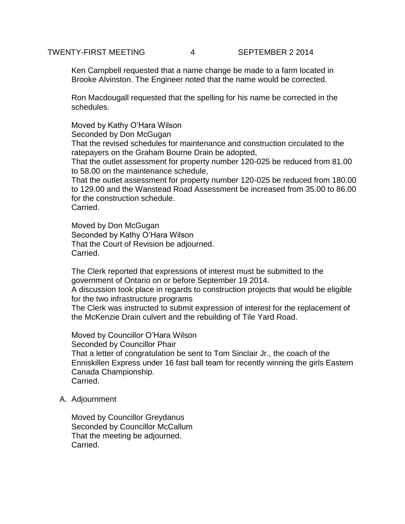## TWENTY-FIRST MEETING 4 SEPTEMBER 2 2014

Ken Campbell requested that a name change be made to a farm located in Brooke Alvinston. The Engineer noted that the name would be corrected.

Ron Macdougall requested that the spelling for his name be corrected in the schedules.

Moved by Kathy O'Hara Wilson Seconded by Don McGugan That the revised schedules for maintenance and construction circulated to the ratepayers on the Graham Bourne Drain be adopted, That the outlet assessment for property number 120-025 be reduced from 81.00 to 58.00 on the maintenance schedule, That the outlet assessment for property number 120-025 be reduced from 180.00

to 129.00 and the Wanstead Road Assessment be increased from 35.00 to 86.00 for the construction schedule. Carried.

Moved by Don McGugan Seconded by Kathy O'Hara Wilson That the Court of Revision be adjourned. Carried.

The Clerk reported that expressions of interest must be submitted to the government of Ontario on or before September 19 2014.

A discussion took place in regards to construction projects that would be eligible for the two infrastructure programs

The Clerk was instructed to submit expression of interest for the replacement of the McKenzie Drain culvert and the rebuilding of Tile Yard Road.

Moved by Councillor O'Hara Wilson Seconded by Councillor Phair That a letter of congratulation be sent to Tom Sinclair Jr., the coach of the Enniskillen Express under 16 fast ball team for recently winning the girls Eastern Canada Championship. Carried.

A. Adjournment

Moved by Councillor Greydanus Seconded by Councillor McCallum That the meeting be adjourned. Carried.